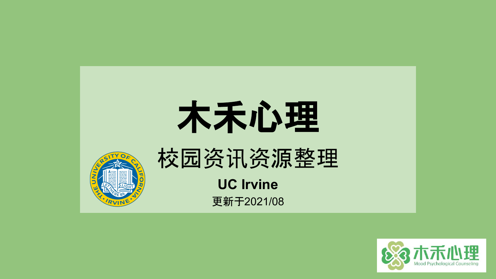

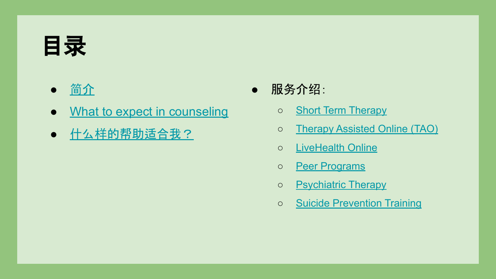# <span id="page-1-0"></span>目录

- [简](#page-2-0)介
- [What to expect in counseling](#page-3-0)
- 什么样[的帮助适合我?](#page-4-0)
- 服务介绍:
	- o [Short Term Therapy](#page-5-0)
	- [Therapy Assisted Online \(TAO\)](#page-6-0)
	- o [LiveHealth Online](#page-7-0)
	- o [Peer Programs](#page-8-0)
	- o **[Psychiatric Therapy](#page-9-0)**
	- o [Suicide Prevention Training](#page-10-0)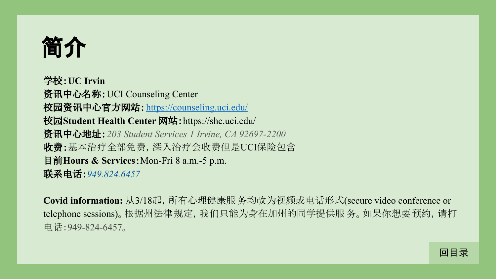<span id="page-2-0"></span>

学校:**UC Irvin** 资讯中心名称:UCI Counseling Center 校园资讯中心官方网站:<https://counseling.uci.edu/> 校园**Student Health Center** 网站:https://shc.uci.edu/ 资讯中心地址:*203 Student Services 1 Irvine, CA 92697-2200* 收费:基本治疗全部免费,深入治疗会收费但是UCI保险包含 目前**Hours & Services**:Mon-Fri 8 a.m.-5 p.m. 联系电话:*949.824.6457*

**Covid information:** 从3/18起,所有心理健康服务均改为视频或电话形式(secure video conference or telephone sessions)。根据州法律规定,我们只能为身在加州的同学提供服 务。如果你想要预约,请打 电话:949-824-6457。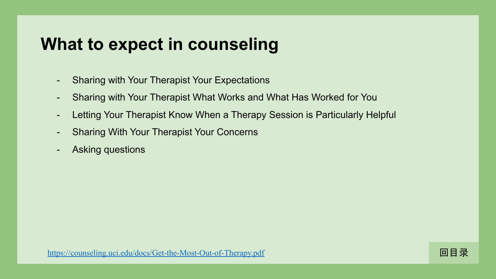## <span id="page-3-0"></span>**What to expect in counseling**

- Sharing with Your Therapist Your Expectations
- Sharing with Your Therapist What Works and What Has Worked for You
- Letting Your Therapist Know When a Therapy Session is Particularly Helpful
- Sharing With Your Therapist Your Concerns
- Asking questions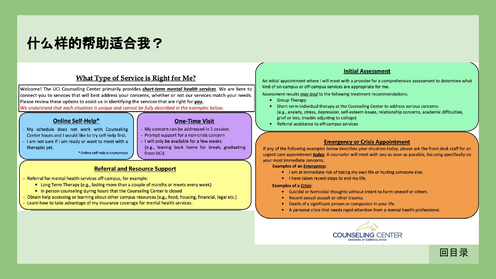## <span id="page-4-0"></span>**什么样的帮助适合我?**

### What Type of Service is Right for Me?

Welcome! The UCI Counseling Center primarily provides short-term mental health services. We are here to connect you to services that will best address your concerns, whether or not our services match your needs. Please review these options to assist us in identifying the services that are right for you. We understand that each situation is unique and cannot be fully described in the examples below.

### **Online Self-Help\***

- My schedule does not work with Counseling Center hours and I would like to try self-help first.
- I am not sure if I am ready or want to meet with a therapist yet.

\* Online self-help is anonymous

#### **One-Time Visit**

- My concern can be addressed in 1 session.
- Prompt support for a non-crisis concern
- I will only be available for a few weeks (e.g., leaving back home for break; graduating from UCI)

### **Referral and Resource Support**

- Referral for mental health services off-campus, for example:
	- Long Term Therapy (e.g., lasting more than a couple of months or meets every week)
	- In person counseling during hours that the Counseling Center is closed
- Obtain help accessing or learning about other campus resources (e.g., food, housing, financial, legal etc.)
- Learn how to take advantage of my insurance coverage for mental health services.

#### **Initial Assessment**

An initial appointment where I will meet with a provider for a comprehensive assessment to determine what kind of on-campus or off-campus services are appropriate for me.

Assessment results may lead to the following treatment recommendations:

- Group Therapy
- Short-term individual therapy at the Counseling Center to address various concerns (e.g., anxiety, stress, depression, self-esteem issues, relationship concerns, academic difficulties, grief or loss, trouble adjusting to college)
- Referral assistance to off-campus services

#### **Emergency or Crisis Appointment**

If any of the following examples below describes your situation today, please ask the front desk staff for an urgent care appointment *today*. A counselor will meet with you as soon as possible, focusing specifically on your most immediate concerns.

**Examples of an Emergency:** 

- I am at immediate risk of taking my own life or hurting someone else.
- . I have taken recent steps to end my life.

#### **Examples of a Crisis:**

- Suicidal or homicidal thoughts without intent to harm oneself or others.
- Recent sexual assault or other trauma.
- Death of a significant person or companion in your life.
- A personal crisis that needs rapid attention from a mental health professional.



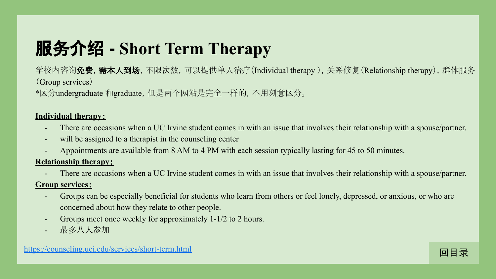# <span id="page-5-0"></span>服务介绍 **- Short Term Therapy**

学校内咨询**免费,需本人到场**,不限次数,可以提供单人治疗(Individual therapy),关系修复(Relationship therapy),群体服务 (Group services)

\*区分undergraduate 和graduate, 但是两个网站是完全一样的, 不用刻意区分。

### **Individual therapy**:

- There are occasions when a UC Irvine student comes in with an issue that involves their relationship with a spouse/partner.
- will be assigned to a therapist in the counseling center
- Appointments are available from 8 AM to 4 PM with each session typically lasting for 45 to 50 minutes.

### **Relationship therapy**:

There are occasions when a UC Irvine student comes in with an issue that involves their relationship with a spouse/partner.

### **Group services**:

- Groups can be especially beneficial for students who learn from others or feel lonely, depressed, or anxious, or who are concerned about how they relate to other people.
- Groups meet once weekly for approximately 1-1/2 to 2 hours.
- 最多八人参加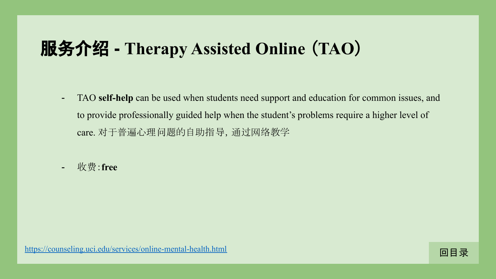## <span id="page-6-0"></span>服务介绍 **- Therapy Assisted Online** (**TAO**)

- TAO **self-help** can be used when students need support and education for common issues, and to provide professionally guided help when the student's problems require a higher level of care. 对于普遍心理问题的自助指导,通过网络教学
- 收费:**free**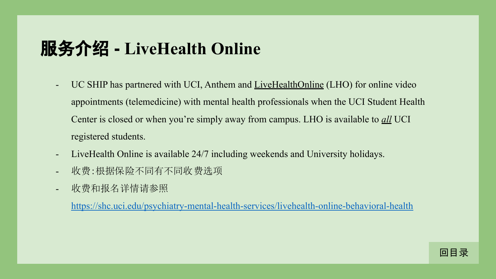## <span id="page-7-0"></span>服务介绍 **- LiveHealth Online**

- UC SHIP has partnered with UCI, Anthem and [LiveHealthOnline](https://www.livehealthonline.com/) (LHO) for online video appointments (telemedicine) with mental health professionals when the UCI Student Health Center is closed or when you're simply away from campus. LHO is available to *all* UCI registered students.
- LiveHealth Online is available 24/7 including weekends and University holidays.
- 收费:根据保险不同有不同收费选项
- 收费和报名详情请参照

https://shc.uci.edu/psychiatry-mental-health-services/livehealth-online-behavioral-health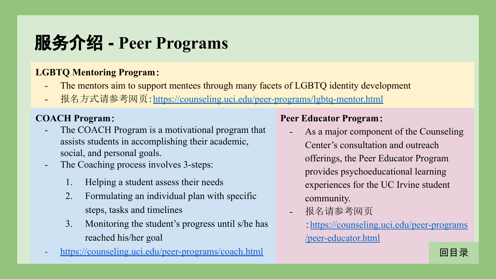# <span id="page-8-0"></span>服务介绍 **- Peer Programs**

### **LGBTQ Mentoring Program**:

- The mentors aim to support mentees through many facets of LGBTQ identity development
- 报名方式请参考网页:<https://counseling.uci.edu/peer-programs/lgbtq-mentor.html>

### **COACH Program**:

- The COACH Program is a motivational program that assists students in accomplishing their academic, social, and personal goals.
- The Coaching process involves 3-steps:
	- 1. Helping a student assess their needs
	- 2. Formulating an individual plan with specific steps, tasks and timelines
	- 3. Monitoring the student's progress until s/he has reached his/her goal
- <https://counseling.uci.edu/peer-programs/coach.html>

### **Peer Educator Program**:

- As a major component of the Counseling Center's consultation and outreach offerings, the Peer Educator Program provides psychoeducational learning experiences for the UC Irvine student community.
- 报名请参考网页
	- :[https://counseling.uci.edu/peer-programs](https://counseling.uci.edu/peer-programs/peer-educator.html) [/peer-educator.html](https://counseling.uci.edu/peer-programs/peer-educator.html)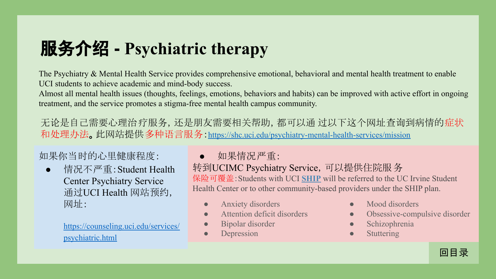# <span id="page-9-0"></span>服务介绍 **- Psychiatric therapy**

The Psychiatry & Mental Health Service provides comprehensive emotional, behavioral and mental health treatment to enable UCI students to achieve academic and mind-body success.

Almost all mental health issues (thoughts, feelings, emotions, behaviors and habits) can be improved with active effort in ongoing treatment, and the service promotes a stigma-free mental health campus community.

无论是自己需要心理治疗服务,还是朋友需要相关帮助,都可以通 过以下这个网址查询到病情的症状 和处理办法。此网站提供多种语言服务:<https://shc.uci.edu/psychiatry-mental-health-services/mission>

如果你当时的心里健康程度:

● 情况不严重:Student Health Center Psychiatry Service 通过UCI Health 网站预约, 网址:

> [https://counseling.uci.edu/services/](https://counseling.uci.edu/services/psychiatric.html) [psychiatric.html](https://counseling.uci.edu/services/psychiatric.html)

● 如果情况严重:

转到UCIMC Psychiatry Service,可以提供住院服务 保险可覆盖:Students with UCI **[SHIP](http://www.shs.uci.edu/health_insurance_privacy/insurance.aspx)** will be referred to the UC Irvine Student Health Center or to other community-based providers under the SHIP plan.

- Anxiety disorders
- Attention deficit disorders
- Bipolar disorder
- Depression
- Mood disorders
- Obsessive-compulsive disorder
- Schizophrenia
- **Stuttering**